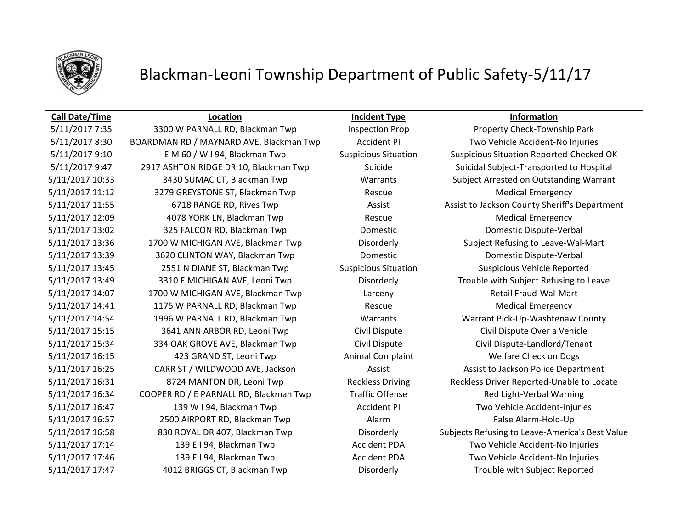

# Blackman-Leoni Township Department of Public Safety-5/11/17

5/11/2017 8:30 BOARDMAN RD / MAYNARD AVE, Blackman Twp Accident PI Two Vehicle Accident-No Injuries 5/11/2017 9:10 E M 60 / W I 94, Blackman Twp Suspicious Situation Suspicious Situation Reported-Checked OK 5/11/2017 9:47 2917 ASHTON RIDGE DR 10, Blackman Twp Suicide Suicide Suicidal Subject-Transported to Hospital 5/11/2017 10:33 3430 SUMAC CT, Blackman Twp Warrants Subject Arrested on Outstanding Warrant 5/11/2017 11:12 3279 GREYSTONE ST, Blackman Twp Rescue Rescue Medical Emergency 5/11/2017 12:09 4078 YORK LN, Blackman Twp Rescue Medical Emergency 5/11/2017 13:02 325 FALCON RD, Blackman Twp Domestic Domestic Dispute-Verbal 5/11/2017 13:36 1700 W MICHIGAN AVE, Blackman Twp Disorderly Subject Refusing to Leave-Wal-Mart 5/11/2017 13:39 3620 CLINTON WAY, Blackman Twp Domestic Domestic Dispute-Verbal 5/11/2017 13:45 2551 N DIANE ST, Blackman Twp Suspicious Situation Suspicious Vehicle Reported 5/11/2017 13:49 3310 E MICHIGAN AVE, Leoni Twp Disorderly Trouble with Subject Refusing to Leave 5/11/2017 14:07 1700 W MICHIGAN AVE, Blackman Twp Larceny Larceny Retail Fraud-Wal-Mart 5/11/2017 14:41 **1175 W PARNALL RD, Blackman Twp** Rescue Rescue **Medical Emergency** 5/11/2017 14:54 1996 W PARNALL RD, Blackman Twp Warrants Warrant Pick-Up-Washtenaw County 5/11/2017 15:15 3641 ANN ARBOR RD, Leoni Twp Civil Dispute Civil Dispute Over a Vehicle 5/11/2017 15:34 334 OAK GROVE AVE, Blackman Twp Civil Dispute Civil Dispute-Landlord/Tenant 5/11/2017 16:15 423 GRAND ST, Leoni Twp Animal Complaint Welfare Check on Dogs 5/11/2017 16:25 CARR ST / WILDWOOD AVE, Jackson Assist Assist Assist to Jackson Police Department 5/11/2017 16:31 8724 MANTON DR, Leoni Twp Reckless Driving Reckless Driver Reported-Unable to Locate 5/11/2017 16:34 COOPER RD / E PARNALL RD, Blackman Twp Traffic Offense Red Light-Verbal Warning 5/11/2017 16:47 139 W I 94, Blackman Twp Accident PI Two Vehicle Accident-Injuries 5/11/2017 16:57 **2500 AIRPORT RD, Blackman Twp** Alarm Alarm **False Alarm-Hold-Up** 5/11/2017 17:14 139 E I 94, Blackman Twp Accident PDA Two Vehicle Accident-No Injuries 5/11/2017 17:46 139 E I 94, Blackman Twp Accident PDA Two Vehicle Accident-No Injuries 5/11/2017 17:47 4012 BRIGGS CT, Blackman Twp Disorderly Trouble with Subject Reported

**Call Date/Time Location Incident Type Information**

5/11/2017 7:35 3300 W PARNALL RD, Blackman Twp Inspection Prop Property Check-Township Park 5/11/2017 11:55 6718 RANGE RD, Rives Twp **Assist Assist Assist to Jackson County Sheriff's Department** 5/11/2017 16:58 830 ROYAL DR 407, Blackman Twp Disorderly Subjects Refusing to Leave-America's Best Value